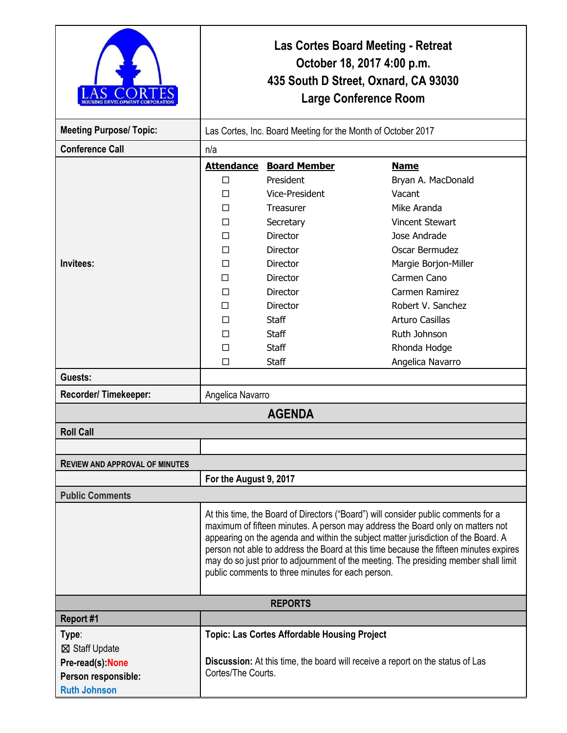| <b>OUSING DEVELOPMENT COR</b>         | <b>Las Cortes Board Meeting - Retreat</b><br>October 18, 2017 4:00 p.m.<br>435 South D Street, Oxnard, CA 93030<br><b>Large Conference Room</b>                                                                                                                                                                                                                                                                                                                                                  |                                                     |                        |  |
|---------------------------------------|--------------------------------------------------------------------------------------------------------------------------------------------------------------------------------------------------------------------------------------------------------------------------------------------------------------------------------------------------------------------------------------------------------------------------------------------------------------------------------------------------|-----------------------------------------------------|------------------------|--|
| <b>Meeting Purpose/ Topic:</b>        | Las Cortes, Inc. Board Meeting for the Month of October 2017                                                                                                                                                                                                                                                                                                                                                                                                                                     |                                                     |                        |  |
| <b>Conference Call</b>                | n/a                                                                                                                                                                                                                                                                                                                                                                                                                                                                                              |                                                     |                        |  |
|                                       | <b>Attendance</b>                                                                                                                                                                                                                                                                                                                                                                                                                                                                                | <b>Board Member</b>                                 | <b>Name</b>            |  |
|                                       | $\Box$                                                                                                                                                                                                                                                                                                                                                                                                                                                                                           | President                                           | Bryan A. MacDonald     |  |
|                                       | П                                                                                                                                                                                                                                                                                                                                                                                                                                                                                                | Vice-President                                      | Vacant                 |  |
|                                       | П                                                                                                                                                                                                                                                                                                                                                                                                                                                                                                | Treasurer                                           | Mike Aranda            |  |
|                                       | □                                                                                                                                                                                                                                                                                                                                                                                                                                                                                                | Secretary                                           | <b>Vincent Stewart</b> |  |
|                                       | П                                                                                                                                                                                                                                                                                                                                                                                                                                                                                                | <b>Director</b>                                     | Jose Andrade           |  |
|                                       | □                                                                                                                                                                                                                                                                                                                                                                                                                                                                                                | Director                                            | Oscar Bermudez         |  |
| Invitees:                             | П                                                                                                                                                                                                                                                                                                                                                                                                                                                                                                | Director                                            | Margie Borjon-Miller   |  |
|                                       | П                                                                                                                                                                                                                                                                                                                                                                                                                                                                                                | Director                                            | Carmen Cano            |  |
|                                       | П                                                                                                                                                                                                                                                                                                                                                                                                                                                                                                | <b>Director</b>                                     | Carmen Ramirez         |  |
|                                       | □                                                                                                                                                                                                                                                                                                                                                                                                                                                                                                | Director                                            | Robert V. Sanchez      |  |
|                                       | П                                                                                                                                                                                                                                                                                                                                                                                                                                                                                                | <b>Staff</b>                                        | <b>Arturo Casillas</b> |  |
|                                       | □                                                                                                                                                                                                                                                                                                                                                                                                                                                                                                | <b>Staff</b>                                        | Ruth Johnson           |  |
|                                       | □                                                                                                                                                                                                                                                                                                                                                                                                                                                                                                | <b>Staff</b>                                        | Rhonda Hodge           |  |
|                                       | □                                                                                                                                                                                                                                                                                                                                                                                                                                                                                                | <b>Staff</b>                                        | Angelica Navarro       |  |
| Guests:                               |                                                                                                                                                                                                                                                                                                                                                                                                                                                                                                  |                                                     |                        |  |
| Recorder/Timekeeper:                  | Angelica Navarro                                                                                                                                                                                                                                                                                                                                                                                                                                                                                 |                                                     |                        |  |
| <b>AGENDA</b>                         |                                                                                                                                                                                                                                                                                                                                                                                                                                                                                                  |                                                     |                        |  |
| <b>Roll Call</b>                      |                                                                                                                                                                                                                                                                                                                                                                                                                                                                                                  |                                                     |                        |  |
|                                       |                                                                                                                                                                                                                                                                                                                                                                                                                                                                                                  |                                                     |                        |  |
| <b>REVIEW AND APPROVAL OF MINUTES</b> |                                                                                                                                                                                                                                                                                                                                                                                                                                                                                                  |                                                     |                        |  |
|                                       | For the August 9, 2017                                                                                                                                                                                                                                                                                                                                                                                                                                                                           |                                                     |                        |  |
| <b>Public Comments</b>                |                                                                                                                                                                                                                                                                                                                                                                                                                                                                                                  |                                                     |                        |  |
|                                       | At this time, the Board of Directors ("Board") will consider public comments for a<br>maximum of fifteen minutes. A person may address the Board only on matters not<br>appearing on the agenda and within the subject matter jurisdiction of the Board. A<br>person not able to address the Board at this time because the fifteen minutes expires<br>may do so just prior to adjournment of the meeting. The presiding member shall limit<br>public comments to three minutes for each person. |                                                     |                        |  |
| <b>REPORTS</b>                        |                                                                                                                                                                                                                                                                                                                                                                                                                                                                                                  |                                                     |                        |  |
| Report #1                             |                                                                                                                                                                                                                                                                                                                                                                                                                                                                                                  |                                                     |                        |  |
| Type:                                 |                                                                                                                                                                                                                                                                                                                                                                                                                                                                                                  | <b>Topic: Las Cortes Affordable Housing Project</b> |                        |  |
| ⊠ Staff Update                        |                                                                                                                                                                                                                                                                                                                                                                                                                                                                                                  |                                                     |                        |  |
| Pre-read(s):None                      | Discussion: At this time, the board will receive a report on the status of Las                                                                                                                                                                                                                                                                                                                                                                                                                   |                                                     |                        |  |
| Person responsible:                   | Cortes/The Courts.                                                                                                                                                                                                                                                                                                                                                                                                                                                                               |                                                     |                        |  |
| <b>Ruth Johnson</b>                   |                                                                                                                                                                                                                                                                                                                                                                                                                                                                                                  |                                                     |                        |  |